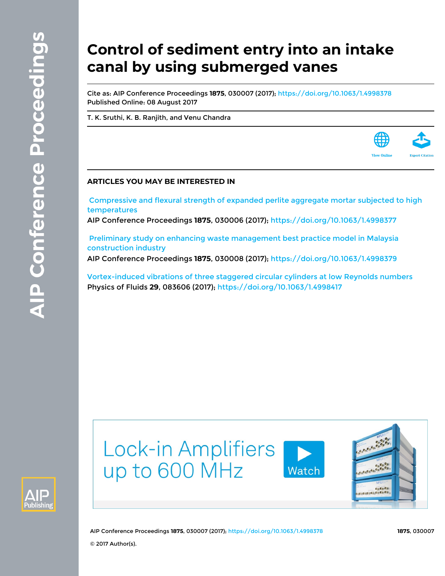# **Control of sediment entry into an intake canal by using submerged vanes**

Cite as: AIP Conference Proceedings **1875**, 030007 (2017); <https://doi.org/10.1063/1.4998378> Published Online: 08 August 2017

[T. K. Sruthi,](https://aip.scitation.org/author/Sruthi%2C+T+K) [K. B. Ranjith,](https://aip.scitation.org/author/Ranjith%2C+K+B) and [Venu Chandra](https://aip.scitation.org/author/Chandra%2C+Venu)

# **ARTICLES YOU MAY BE INTERESTED IN**

 [Compressive and flexural strength of expanded perlite aggregate mortar subjected to high](https://aip.scitation.org/doi/10.1063/1.4998377) [temperatures](https://aip.scitation.org/doi/10.1063/1.4998377)

AIP Conference Proceedings **1875**, 030006 (2017); <https://doi.org/10.1063/1.4998377>

 [Preliminary study on enhancing waste management best practice model in Malaysia](https://aip.scitation.org/doi/10.1063/1.4998379) [construction industry](https://aip.scitation.org/doi/10.1063/1.4998379)

AIP Conference Proceedings **1875**, 030008 (2017); <https://doi.org/10.1063/1.4998379>

[Vortex-induced vibrations of three staggered circular cylinders at low Reynolds numbers](https://aip.scitation.org/doi/10.1063/1.4998417) Physics of Fluids **29**, 083606 (2017);<https://doi.org/10.1063/1.4998417>





AIP Conference Proceedings **1875**, 030007 (2017);<https://doi.org/10.1063/1.4998378> **1875**, 030007 © 2017 Author(s).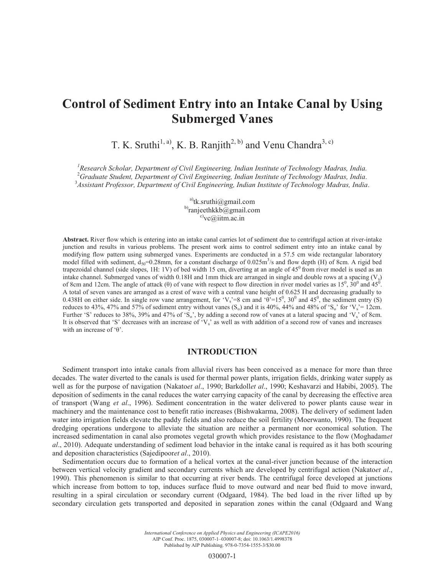# **Control of Sediment Entry into an Intake Canal by Using Submerged Vanes**

T. K. Sruthi<sup>1, a)</sup>, K. B. Ranjith<sup>2, b)</sup> and Venu Chandra<sup>3, c)</sup>

<sup>1</sup> Research Scholar, Department of Civil Engineering, Indian Institute of Technology Madras, India.<br><sup>2</sup>Cuaduate Student, Department of Civil Engineering, Indian Institute of Technology Madras, India. <sup>2</sup> Graduate Student, Department of Civil Engineering, Indian Institute of Technology Madras, India. 3 *Assistant Professor, Department of Civil Engineering, Indian Institute of Technology Madras, India.* 

> a)tk.sruthi@gmail.com b)ranjeethkkb@gmail.com  $c)$ <sub>vc</sub> $\omega$ iitm.ac.in

**Abstract.** River flow which is entering into an intake canal carries lot of sediment due to centrifugal action at river-intake junction and results in various problems. The present work aims to control sediment entry into an intake canal by modifying flow pattern using submerged vanes. Experiments are conducted in a 57.5 cm wide rectangular laboratory model filled with sediment,  $d_{50}$ =0.28mm, for a constant discharge of 0.025m<sup>3</sup>/s and flow depth (H) of 8cm. A rigid bed trapezoidal channel (side slopes, 1H: 1V) of bed width 15 cm, diverting at an angle of  $45^{\circ}$  from river model is used as an intake channel. Submerged vanes of width 0.18H and 1mm thick are arranged in single and double rows at a spacing  $(V<sub>s</sub>)$ of 8cm and 12cm. The angle of attack ( $\theta$ ) of vane with respect to flow direction in river model varies as  $15^0$ ,  $30^0$  and  $45^0$ . A total of seven vanes are arranged as a crest of wave with a central vane height of 0.625 H and decreasing gradually to 0.438H on either side. In single row vane arrangement, for 'V<sub>s</sub>'=8 cm and ' $\theta$ '=15<sup>0</sup>, 30<sup>0</sup> and 45<sup>0</sup>, the sediment entry (S) reduces to 43%, 47% and 57% of sediment entry without vanes  $(S_0)$  and it is 40%, 44% and 48% of 'S<sub>o</sub>' for 'V<sub>s</sub>'= 12cm. Further 'S' reduces to 38%, 39% and 47% of 'S<sub>o</sub>', by adding a second row of vanes at a lateral spacing and 'V<sub>s</sub>' of 8cm. It is observed that 'S' decreases with an increase of  $V_s$ ' as well as with addition of a second row of vanes and increases with an increase of 'θ'.

## **INTRODUCTION**

Sediment transport into intake canals from alluvial rivers has been conceived as a menace for more than three decades. The water diverted to the canals is used for thermal power plants, irrigation fields, drinking water supply as well as for the purpose of navigation (Nakato*et al*., 1990; Barkdoll*et al*., 1990; Keshavarzi and Habibi, 2005). The deposition of sediments in the canal reduces the water carrying capacity of the canal by decreasing the effective area of transport (Wang *et al*., 1996). Sediment concentration in the water delivered to power plants cause wear in machinery and the maintenance cost to benefit ratio increases (Bishwakarma, 2008). The delivery of sediment laden water into irrigation fields elevate the paddy fields and also reduce the soil fertility (Moerwanto, 1990). The frequent dredging operations undergone to alleviate the situation are neither a permanent nor economical solution. The increased sedimentation in canal also promotes vegetal growth which provides resistance to the flow (Moghadam*et al*., 2010). Adequate understanding of sediment load behavior in the intake canal is required as it has both scouring and deposition characteristics (Sajedipoor*et al*., 2010).

Sedimentation occurs due to formation of a helical vortex at the canal-river junction because of the interaction between vertical velocity gradient and secondary currents which are developed by centrifugal action (Nakato*et al*., 1990). This phenomenon is similar to that occurring at river bends. The centrifugal force developed at junctions which increase from bottom to top, induces surface fluid to move outward and near bed fluid to move inward, resulting in a spiral circulation or secondary current (Odgaard, 1984). The bed load in the river lifted up by secondary circulation gets transported and deposited in separation zones within the canal (Odgaard and Wang

> *International Conference on Applied Physics and Engineering (ICAPE2016)* AIP Conf. Proc. 1875, 030007-1–030007-8; doi: 10.1063/1.4998378 Published by AIP Publishing. 978-0-7354-1555-3/\$30.00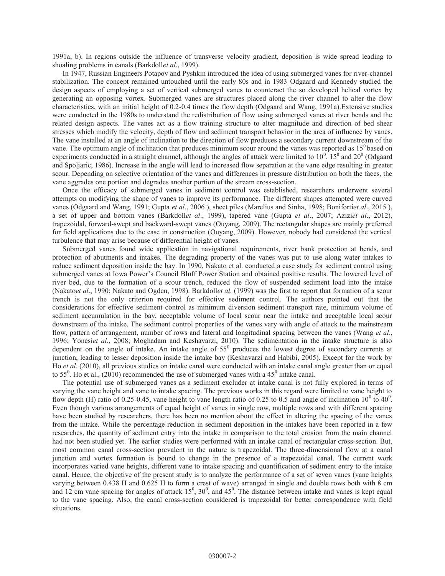1991a, b). In regions outside the influence of transverse velocity gradient, deposition is wide spread leading to shoaling problems in canals (Barkdoll*et al*., 1999).

In 1947, Russian Engineers Potapov and Pyshkin introduced the idea of using submerged vanes for river-channel stabilization. The concept remained untouched until the early 80s and in 1983 Odgaard and Kennedy studied the design aspects of employing a set of vertical submerged vanes to counteract the so developed helical vortex by generating an opposing vortex. Submerged vanes are structures placed along the river channel to alter the flow characteristics, with an initial height of 0.2-0.4 times the flow depth (Odgaard and Wang, 1991a).Extensive studies were conducted in the 1980s to understand the redistribution of flow using submerged vanes at river bends and the related design aspects. The vanes act as a flow training structure to alter magnitude and direction of bed shear stresses which modify the velocity, depth of flow and sediment transport behavior in the area of influence by vanes. The vane installed at an angle of inclination to the direction of flow produces a secondary current downstream of the vane. The optimum angle of inclination that produces minimum scour around the vanes was reported as  $15<sup>0</sup>$  based on experiments conducted in a straight channel, although the angles of attack were limited to  $10^0$ ,  $15^0$  and  $20^0$  (Odgaard and Spoljaric, 1986). Increase in the angle will lead to increased flow separation at the vane edge resulting in greater scour. Depending on selective orientation of the vanes and differences in pressure distribution on both the faces, the vane aggrades one portion and degrades another portion of the stream cross-section.

Once the efficacy of submerged vanes in sediment control was established, researchers underwent several attempts on modifying the shape of vanes to improve its performance. The different shapes attempted were curved vanes (Odgaard and Wang, 1991; Gupta *et al*., 2006 ), sheet piles (Marelius and Sinha, 1998; Boniforti*et al*., 2015 ), a set of upper and bottom vanes (Barkdoll*et al*., 1999), tapered vane (Gupta *et al*., 2007; Azizi*et al*., 2012), trapezoidal, forward-swept and backward-swept vanes (Ouyang, 2009). The rectangular shapes are mainly preferred for field applications due to the ease in construction (Ouyang, 2009). However, nobody had considered the vertical turbulence that may arise because of differential height of vanes.

Submerged vanes found wide application in navigational requirements, river bank protection at bends, and protection of abutments and intakes. The degrading property of the vanes was put to use along water intakes to reduce sediment deposition inside the bay. In 1990, Nakato et al. conducted a case study for sediment control using submerged vanes at Iowa Power's Council Bluff Power Station and obtained positive results. The lowered level of river bed, due to the formation of a scour trench, reduced the flow of suspended sediment load into the intake (Nakato*et al*., 1990; Nakato and Ogden, 1998). Barkdoll*et al.* (1999) was the first to report that formation of a scour trench is not the only criterion required for effective sediment control. The authors pointed out that the considerations for effective sediment control as minimum diversion sediment transport rate, minimum volume of sediment accumulation in the bay, acceptable volume of local scour near the intake and acceptable local scour downstream of the intake. The sediment control properties of the vanes vary with angle of attack to the mainstream flow, pattern of arrangement, number of rows and lateral and longitudinal spacing between the vanes (Wang *et al*., 1996; Yonesi*et al*., 2008; Moghadam and Keshavarzi, 2010). The sedimentation in the intake structure is also dependent on the angle of intake. An intake angle of  $55<sup>0</sup>$  produces the lowest degree of secondary currents at junction, leading to lesser deposition inside the intake bay (Keshavarzi and Habibi, 2005). Except for the work by Ho *et al*. (2010), all previous studies on intake canal were conducted with an intake canal angle greater than or equal to 55<sup>0</sup>. Ho et al., (2010) recommended the use of submerged vanes with a 45<sup>0</sup> intake canal.

The potential use of submerged vanes as a sediment excluder at intake canal is not fully explored in terms of varying the vane height and vane to intake spacing. The previous works in this regard were limited to vane height to flow depth (H) ratio of 0.25-0.45, vane height to vane length ratio of 0.25 to 0.5 and angle of inclination  $10^0$  to  $40^0$ . Even though various arrangements of equal height of vanes in single row, multiple rows and with different spacing have been studied by researchers, there has been no mention about the effect in altering the spacing of the vanes from the intake. While the percentage reduction in sediment deposition in the intakes have been reported in a few researches, the quantity of sediment entry into the intake in comparison to the total erosion from the main channel had not been studied yet. The earlier studies were performed with an intake canal of rectangular cross-section. But, most common canal cross-section prevalent in the nature is trapezoidal. The three-dimensional flow at a canal junction and vortex formation is bound to change in the presence of a trapezoidal canal. The current work incorporates varied vane heights, different vane to intake spacing and quantification of sediment entry to the intake canal. Hence, the objective of the present study is to analyze the performance of a set of seven vanes (vane heights varying between 0.438 H and 0.625 H to form a crest of wave) arranged in single and double rows both with 8 cm and 12 cm vane spacing for angles of attack  $15^0$ ,  $30^0$ , and  $45^0$ . The distance between intake and vanes is kept equal to the vane spacing. Also, the canal cross-section considered is trapezoidal for better correspondence with field situations.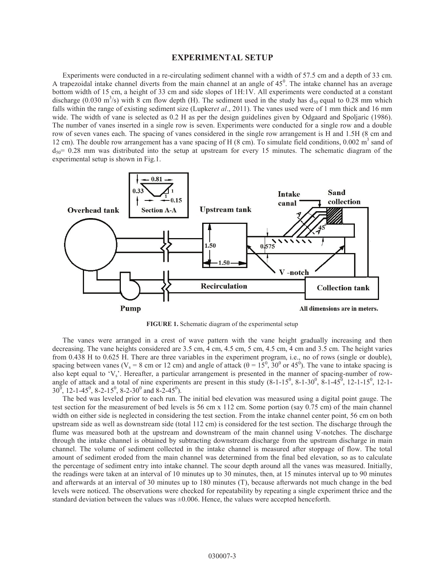#### **EXPERIMENTAL SETUP**

Experiments were conducted in a re-circulating sediment channel with a width of 57.5 cm and a depth of 33 cm. A trapezoidal intake channel diverts from the main channel at an angle of  $45^\circ$ . The intake channel has an average bottom width of 15 cm, a height of 33 cm and side slopes of 1H:1V. All experiments were conducted at a constant discharge (0.030 m<sup>3</sup>/s) with 8 cm flow depth (H). The sediment used in the study has  $d_{50}$  equal to 0.28 mm which falls within the range of existing sediment size (Lupker*et al*., 2011). The vanes used were of 1 mm thick and 16 mm wide. The width of vane is selected as 0.2 H as per the design guidelines given by Odgaard and Spoliaric (1986). The number of vanes inserted in a single row is seven. Experiments were conducted for a single row and a double row of seven vanes each. The spacing of vanes considered in the single row arrangement is H and 1.5H (8 cm and 12 cm). The double row arrangement has a vane spacing of H  $(8 \text{ cm})$ . To simulate field conditions, 0.002 m<sup>3</sup> sand of  $d_{50}$ = 0.28 mm was distributed into the setup at upstream for every 15 minutes. The schematic diagram of the experimental setup is shown in Fig.1.



**FIGURE 1.** Schematic diagram of the experimental setup

The vanes were arranged in a crest of wave pattern with the vane height gradually increasing and then decreasing. The vane heights considered are 3.5 cm,  $\overline{4}$  cm, 4.5 cm, 5 cm, 4.5 cm, 4 cm and 3.5 cm. The height varies from 0.438 H to 0.625 H. There are three variables in the experiment program, i.e., no of rows (single or double), spacing between vanes ( $V_s = 8$  cm or 12 cm) and angle of attack ( $\theta = 15^0$ ,  $30^0$  or  $45^0$ ). The vane to intake spacing is also kept equal to ' $V_s$ '. Hereafter, a particular arrangement is presented in the manner of spacing-number of rowangle of attack and a total of nine experiments are present in this study  $(8-1-15^0, 8-1-30^0, 8-1-45^0, 12-1-15^0, 12-1-15^0, 12-1-15^0, 12-1-15^0, 12-1-15^0, 12-1-15^0, 12-1-15^0, 12-1-15^0, 12-1-15^0, 12-1-15^0, 12-1 30^{\overline{0}}$ , 12-1-45<sup>0</sup>, 8-2-15<sup>0</sup>, 8-2-30<sup>0</sup> and 8-2-45<sup>0</sup>).

The bed was leveled prior to each run. The initial bed elevation was measured using a digital point gauge. The test section for the measurement of bed levels is 56 cm x 112 cm. Some portion (say 0.75 cm) of the main channel width on either side is neglected in considering the test section. From the intake channel center point, 56 cm on both upstream side as well as downstream side (total 112 cm) is considered for the test section. The discharge through the flume was measured both at the upstream and downstream of the main channel using V-notches. The discharge through the intake channel is obtained by subtracting downstream discharge from the upstream discharge in main channel. The volume of sediment collected in the intake channel is measured after stoppage of flow. The total amount of sediment eroded from the main channel was determined from the final bed elevation, so as to calculate the percentage of sediment entry into intake channel. The scour depth around all the vanes was measured. Initially, the readings were taken at an interval of 10 minutes up to 30 minutes, then, at 15 minutes interval up to 90 minutes and afterwards at an interval of 30 minutes up to 180 minutes (T), because afterwards not much change in the bed levels were noticed. The observations were checked for repeatability by repeating a single experiment thrice and the standard deviation between the values was  $\pm 0.006$ . Hence, the values were accepted henceforth.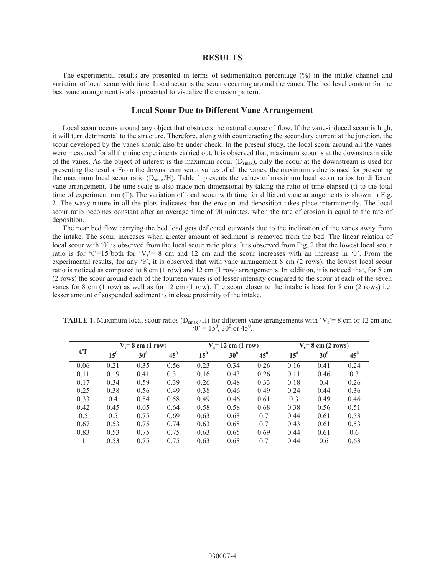#### **RESULTS**

The experimental results are presented in terms of sedimentation percentage (%) in the intake channel and variation of local scour with time. Local scour is the scour occurring around the vanes. The bed level contour for the best vane arrangement is also presented to visualize the erosion pattern.

#### **Local Scour Due to Different Vane Arrangement**

Local scour occurs around any object that obstructs the natural course of flow. If the vane-induced scour is high, it will turn detrimental to the structure. Therefore, along with counteracting the secondary current at the junction, the scour developed by the vanes should also be under check. In the present study, the local scour around all the vanes were measured for all the nine experiments carried out. It is observed that, maximum scour is at the downstream side of the vanes. As the object of interest is the maximum scour  $(D_{\text{smax}})$ , only the scour at the downstream is used for presenting the results. From the downstream scour values of all the vanes, the maximum value is used for presenting the maximum local scour ratio  $(D_{\text{smax}}/H)$ . Table 1 presents the values of maximum local scour ratios for different vane arrangement. The time scale is also made non-dimensional by taking the ratio of time elapsed (t) to the total time of experiment run (T). The variation of local scour with time for different vane arrangements is shown in Fig. 2. The wavy nature in all the plots indicates that the erosion and deposition takes place intermittently. The local scour ratio becomes constant after an average time of 90 minutes, when the rate of erosion is equal to the rate of deposition.

The near bed flow carrying the bed load gets deflected outwards due to the inclination of the vanes away from the intake. The scour increases when greater amount of sediment is removed from the bed. The linear relation of local scour with 'θ' is observed from the local scour ratio plots. It is observed from Fig. 2 that the lowest local scour ratio is for ' $\theta$ '=15<sup>0</sup>both for 'V<sub>s</sub>'= 8 cm and 12 cm and the scour increases with an increase in ' $\theta$ '. From the experimental results, for any 'θ', it is observed that with vane arrangement 8 cm (2 rows), the lowest local scour ratio is noticed as compared to 8 cm (1 row) and 12 cm (1 row) arrangements. In addition, it is noticed that, for 8 cm (2 rows) the scour around each of the fourteen vanes is of lesser intensity compared to the scour at each of the seven vanes for 8 cm (1 row) as well as for 12 cm (1 row). The scour closer to the intake is least for 8 cm (2 rows) i.e. lesser amount of suspended sediment is in close proximity of the intake.

| t/T  | $V_s = 8$ cm (1 row) |                 |        | $V_s$ = 12 cm (1 row) |                 |        | $V_s = 8$ cm (2 rows) |        |        |
|------|----------------------|-----------------|--------|-----------------------|-----------------|--------|-----------------------|--------|--------|
|      | 15 <sup>0</sup>      | 30 <sup>0</sup> | $45^0$ | 15 <sup>0</sup>       | 30 <sup>0</sup> | $45^0$ | $15^{0}$              | $30^0$ | $45^0$ |
| 0.06 | 0.21                 | 0.35            | 0.56   | 0.23                  | 0.34            | 0.26   | 0.16                  | 0.41   | 0.24   |
| 0.11 | 0.19                 | 0.41            | 0.31   | 0.16                  | 0.43            | 0.26   | 0.11                  | 0.46   | 0.3    |
| 0.17 | 0.34                 | 0.59            | 0.39   | 0.26                  | 0.48            | 0.33   | 0.18                  | 0.4    | 0.26   |
| 0.25 | 0.38                 | 0.56            | 0.49   | 0.38                  | 0.46            | 0.49   | 0.24                  | 0.44   | 0.36   |
| 0.33 | 0.4                  | 0.54            | 0.58   | 0.49                  | 0.46            | 0.61   | 0.3                   | 0.49   | 0.46   |
| 0.42 | 0.45                 | 0.65            | 0.64   | 0.58                  | 0.58            | 0.68   | 0.38                  | 0.56   | 0.51   |
| 0.5  | 0.5                  | 0.75            | 0.69   | 0.63                  | 0.68            | 0.7    | 0.44                  | 0.61   | 0.53   |
| 0.67 | 0.53                 | 0.75            | 0.74   | 0.63                  | 0.68            | 0.7    | 0.43                  | 0.61   | 0.53   |
| 0.83 | 0.53                 | 0.75            | 0.75   | 0.63                  | 0.65            | 0.69   | 0.44                  | 0.61   | 0.6    |
|      | 0.53                 | 0.75            | 0.75   | 0.63                  | 0.68            | 0.7    | 0.44                  | 0.6    | 0.63   |

**TABLE 1.** Maximum local scour ratios ( $D_{smax}$ /H) for different vane arrangements with 'V<sub>s</sub>'= 8 cm or 12 cm and  $\theta$ <sup>o</sup> = 15<sup>0</sup>, 30<sup>0</sup> or 45<sup>0</sup>.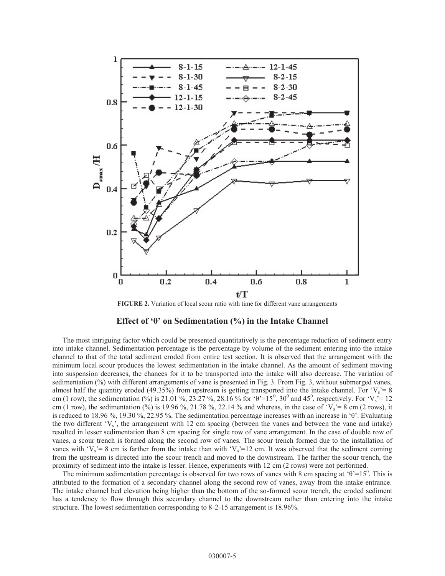

**FIGURE 2.** Variation of local scour ratio with time for different vane arrangements

### **Effect of 'θ' on Sedimentation (%) in the Intake Channel**

The most intriguing factor which could be presented quantitatively is the percentage reduction of sediment entry into intake channel. Sedimentation percentage is the percentage by volume of the sediment entering into the intake channel to that of the total sediment eroded from entire test section. It is observed that the arrangement with the minimum local scour produces the lowest sedimentation in the intake channel. As the amount of sediment moving into suspension decreases, the chances for it to be transported into the intake will also decrease. The variation of sedimentation (%) with different arrangements of vane is presented in Fig. 3. From Fig. 3, without submerged vanes, almost half the quantity eroded (49.35%) from upstream is getting transported into the intake channel. For ' $V_s$ '= 8 cm (1 row), the sedimentation (%) is 21.01 %, 23.27 %, 28.16 % for 'θ'=15<sup>0</sup>, 30<sup>0</sup> and 45<sup>0</sup>, respectively. For 'V<sub>s</sub>'=12 cm (1 row), the sedimentation (%) is 19.96 %, 21.78 %, 22.14 % and whereas, in the case of 'V<sub>s</sub>'= 8 cm (2 rows), it is reduced to 18.96 %, 19.30 %, 22.95 %. The sedimentation percentage increases with an increase in 'θ'. Evaluating the two different 'Vs', the arrangement with 12 cm spacing (between the vanes and between the vane and intake) resulted in lesser sedimentation than 8 cm spacing for single row of vane arrangement. In the case of double row of vanes, a scour trench is formed along the second row of vanes. The scour trench formed due to the installation of vanes with 'V<sub>s</sub>'= 8 cm is farther from the intake than with 'V<sub>s</sub>'=12 cm. It was observed that the sediment coming from the upstream is directed into the scour trench and moved to the downstream. The farther the scour trench, the proximity of sediment into the intake is lesser. Hence, experiments with 12 cm (2 rows) were not performed.

The minimum sedimentation percentage is observed for two rows of vanes with 8 cm spacing at ' $\theta$ '=15<sup>0</sup>. This is attributed to the formation of a secondary channel along the second row of vanes, away from the intake entrance. The intake channel bed elevation being higher than the bottom of the so-formed scour trench, the eroded sediment has a tendency to flow through this secondary channel to the downstream rather than entering into the intake structure. The lowest sedimentation corresponding to 8-2-15 arrangement is 18.96%.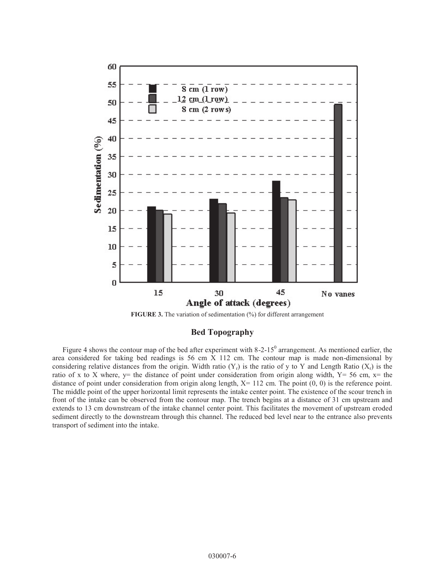

**FIGURE 3.** The variation of sedimentation (%) for different arrangement

**Bed Topography** 

Figure 4 shows the contour map of the bed after experiment with 8-2-15 $^{\circ}$  arrangement. As mentioned earlier, the area considered for taking bed readings is 56 cm X 112 cm. The contour map is made non-dimensional by considering relative distances from the origin. Width ratio (Y<sub>r</sub>) is the ratio of y to Y and Length Ratio (X<sub>r</sub>) is the ratio of x to X where, y= the distance of point under consideration from origin along width,  $Y= 56$  cm,  $x=$  the distance of point under consideration from origin along length,  $X = 112$  cm. The point  $(0, 0)$  is the reference point. The middle point of the upper horizontal limit represents the intake center point. The existence of the scour trench in front of the intake can be observed from the contour map. The trench begins at a distance of 31 cm upstream and extends to 13 cm downstream of the intake channel center point. This facilitates the movement of upstream eroded sediment directly to the downstream through this channel. The reduced bed level near to the entrance also prevents transport of sediment into the intake.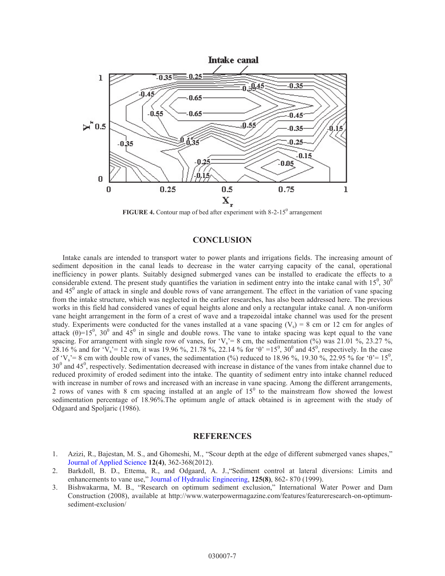

**FIGURE 4.** Contour map of bed after experiment with  $8-2-15^{\circ}$  arrangement

# **CONCLUSION**

Intake canals are intended to transport water to power plants and irrigations fields. The increasing amount of sediment deposition in the canal leads to decrease in the water carrying capacity of the canal, operational inefficiency in power plants. Suitably designed submerged vanes can be installed to eradicate the effects to a considerable extend. The present study quantifies the variation in sediment entry into the intake canal with  $15^0$ ,  $30^0$ and  $45^\circ$  angle of attack in single and double rows of vane arrangement. The effect in the variation of vane spacing from the intake structure, which was neglected in the earlier researches, has also been addressed here. The previous works in this field had considered vanes of equal heights alone and only a rectangular intake canal. A non-uniform vane height arrangement in the form of a crest of wave and a trapezoidal intake channel was used for the present study. Experiments were conducted for the vanes installed at a vane spacing  $(V_s) = 8$  cm or 12 cm for angles of attack  $(\theta)$ =15<sup>0</sup>, 30<sup>0</sup> and 45<sup>0</sup> in single and double rows. The vane to intake spacing was kept equal to the vane spacing. For arrangement with single row of vanes, for ' $V_s$ ' = 8 cm, the sedimentation (%) was 21.01 %, 23.27 %, 28.16 % and for 'V<sub>s</sub>'= 12 cm, it was 19.96 %, 21.78 %, 22.14 % for ' $\theta$ ' =15<sup>0</sup>, 30<sup>0</sup> and 45<sup>0</sup>, respectively. In the case of 'V<sub>s</sub>' = 8 cm with double row of vanes, the sedimentation (%) reduced to 18.96 %, 19.30 %, 22.95 % for ' $\theta$ ' = 15<sup>0</sup>,  $30^0$  and  $45^0$ , respectively. Sedimentation decreased with increase in distance of the vanes from intake channel due to reduced proximity of eroded sediment into the intake. The quantity of sediment entry into intake channel reduced with increase in number of rows and increased with an increase in vane spacing. Among the different arrangements, 2 rows of vanes with 8 cm spacing installed at an angle of  $15<sup>0</sup>$  to the mainstream flow showed the lowest sedimentation percentage of 18.96%.The optimum angle of attack obtained is in agreement with the study of Odgaard and Spoljaric (1986).

#### **REFERENCES**

- 1. Azizi, R., Bajestan, M. S., and Ghomeshi, M., "Scour depth at the edge of different submerged vanes shapes," [Journal of Applied Science](http://dx.doi.org/10.3923/jas.2012.362.368) **12(4)**, 362-368(2012).
- 2. Barkdoll, B. D., Ettema, R., and Odgaard, A. J.,"Sediment control at lateral diversions: Limits and enhancements to vane use," [Journal of Hydraulic Engineering](http://dx.doi.org/10.1061/(ASCE)0733-9429(1999)125:8(862)), **125(8)**, 862- 870 (1999).
- 3. Bishwakarma, M. B., "Research on optimum sediment exclusion," International Water Power and Dam Construction (2008), available at http://www.waterpowermagazine.com/features/featureresearch-on-optimumsediment-exclusion/